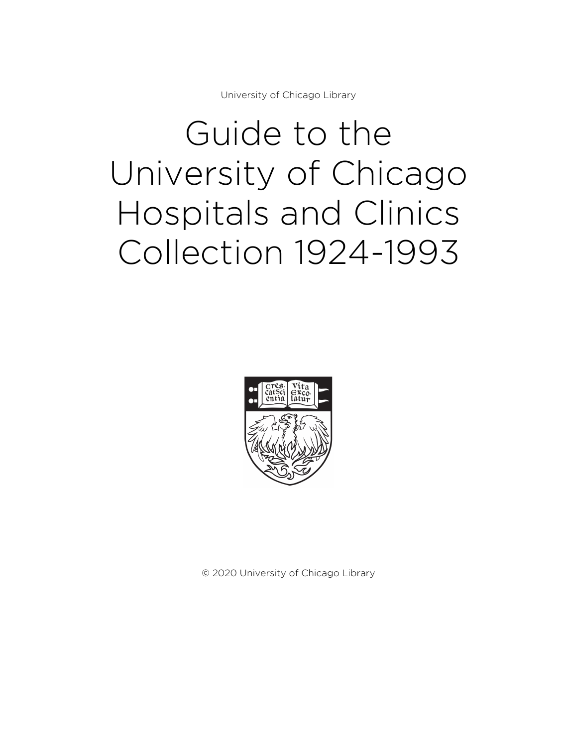University of Chicago Library

# Guide to the University of Chicago Hospitals and Clinics Collection 1924-1993



© 2020 University of Chicago Library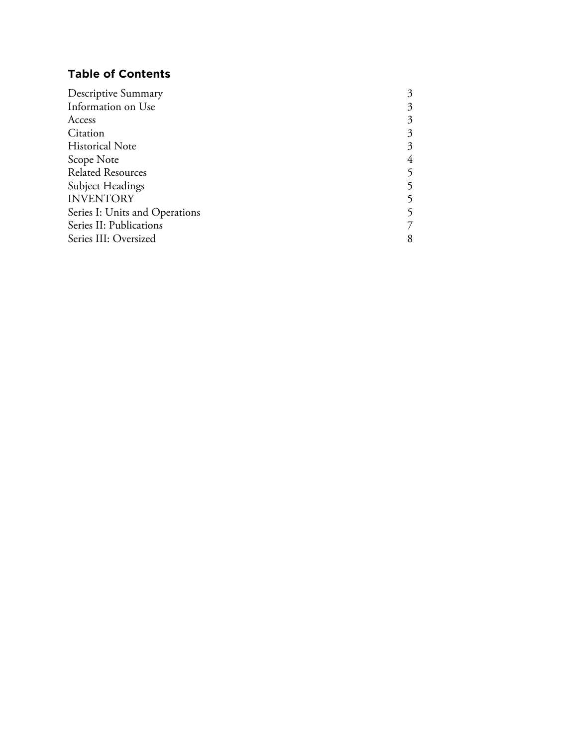## **Table of Contents**

| Descriptive Summary            | 3 |
|--------------------------------|---|
| Information on Use             | 3 |
| Access                         | 3 |
| Citation                       | 3 |
| <b>Historical Note</b>         | 3 |
| Scope Note                     | 4 |
| <b>Related Resources</b>       |   |
| Subject Headings               |   |
| <b>INVENTORY</b>               |   |
| Series I: Units and Operations |   |
| Series II: Publications        |   |
| Series III: Oversized          | 8 |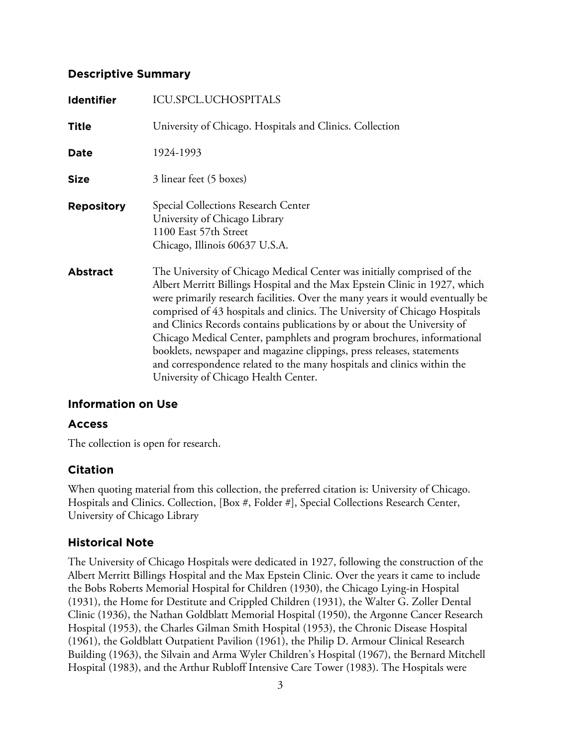## **Descriptive Summary**

| <b>Identifier</b> | ICU.SPCL.UCHOSPITALS                                                                                                                                                                                                                                                                                                                                                                                                                                                                                                                                                                                                                                                    |
|-------------------|-------------------------------------------------------------------------------------------------------------------------------------------------------------------------------------------------------------------------------------------------------------------------------------------------------------------------------------------------------------------------------------------------------------------------------------------------------------------------------------------------------------------------------------------------------------------------------------------------------------------------------------------------------------------------|
| <b>Title</b>      | University of Chicago. Hospitals and Clinics. Collection                                                                                                                                                                                                                                                                                                                                                                                                                                                                                                                                                                                                                |
| Date              | 1924-1993                                                                                                                                                                                                                                                                                                                                                                                                                                                                                                                                                                                                                                                               |
| <b>Size</b>       | 3 linear feet (5 boxes)                                                                                                                                                                                                                                                                                                                                                                                                                                                                                                                                                                                                                                                 |
| <b>Repository</b> | Special Collections Research Center<br>University of Chicago Library<br>1100 East 57th Street<br>Chicago, Illinois 60637 U.S.A.                                                                                                                                                                                                                                                                                                                                                                                                                                                                                                                                         |
| <b>Abstract</b>   | The University of Chicago Medical Center was initially comprised of the<br>Albert Merritt Billings Hospital and the Max Epstein Clinic in 1927, which<br>were primarily research facilities. Over the many years it would eventually be<br>comprised of 43 hospitals and clinics. The University of Chicago Hospitals<br>and Clinics Records contains publications by or about the University of<br>Chicago Medical Center, pamphlets and program brochures, informational<br>booklets, newspaper and magazine clippings, press releases, statements<br>and correspondence related to the many hospitals and clinics within the<br>University of Chicago Health Center. |

## **Information on Use**

#### **Access**

The collection is open for research.

#### **Citation**

When quoting material from this collection, the preferred citation is: University of Chicago. Hospitals and Clinics. Collection, [Box #, Folder #], Special Collections Research Center, University of Chicago Library

## **Historical Note**

The University of Chicago Hospitals were dedicated in 1927, following the construction of the Albert Merritt Billings Hospital and the Max Epstein Clinic. Over the years it came to include the Bobs Roberts Memorial Hospital for Children (1930), the Chicago Lying-in Hospital (1931), the Home for Destitute and Crippled Children (1931), the Walter G. Zoller Dental Clinic (1936), the Nathan Goldblatt Memorial Hospital (1950), the Argonne Cancer Research Hospital (1953), the Charles Gilman Smith Hospital (1953), the Chronic Disease Hospital (1961), the Goldblatt Outpatient Pavilion (1961), the Philip D. Armour Clinical Research Building (1963), the Silvain and Arma Wyler Children's Hospital (1967), the Bernard Mitchell Hospital (1983), and the Arthur Rubloff Intensive Care Tower (1983). The Hospitals were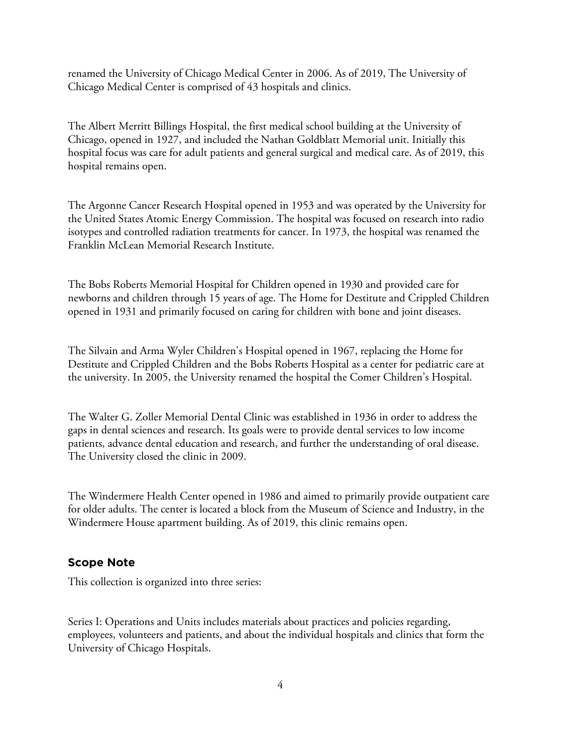renamed the University of Chicago Medical Center in 2006. As of 2019, The University of Chicago Medical Center is comprised of 43 hospitals and clinics.

The Albert Merritt Billings Hospital, the first medical school building at the University of Chicago, opened in 1927, and included the Nathan Goldblatt Memorial unit. Initially this hospital focus was care for adult patients and general surgical and medical care. As of 2019, this hospital remains open.

The Argonne Cancer Research Hospital opened in 1953 and was operated by the University for the United States Atomic Energy Commission. The hospital was focused on research into radio isotypes and controlled radiation treatments for cancer. In 1973, the hospital was renamed the Franklin McLean Memorial Research Institute.

The Bobs Roberts Memorial Hospital for Children opened in 1930 and provided care for newborns and children through 15 years of age. The Home for Destitute and Crippled Children opened in 1931 and primarily focused on caring for children with bone and joint diseases.

The Silvain and Arma Wyler Children's Hospital opened in 1967, replacing the Home for Destitute and Crippled Children and the Bobs Roberts Hospital as a center for pediatric care at the university. In 2005, the University renamed the hospital the Comer Children's Hospital.

The Walter G. Zoller Memorial Dental Clinic was established in 1936 in order to address the gaps in dental sciences and research. Its goals were to provide dental services to low income patients, advance dental education and research, and further the understanding of oral disease. The University closed the clinic in 2009.

The Windermere Health Center opened in 1986 and aimed to primarily provide outpatient care for older adults. The center is located a block from the Museum of Science and Industry, in the Windermere House apartment building. As of 2019, this clinic remains open.

#### **Scope Note**

This collection is organized into three series:

Series I: Operations and Units includes materials about practices and policies regarding, employees, volunteers and patients, and about the individual hospitals and clinics that form the University of Chicago Hospitals.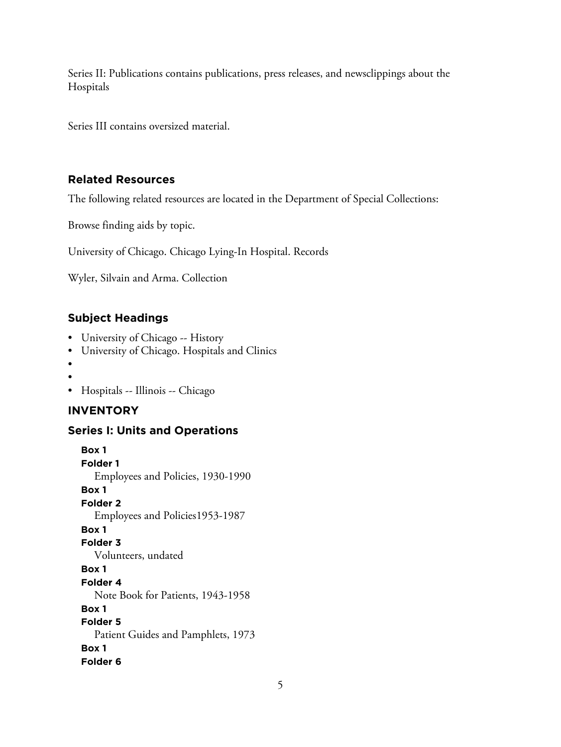Series II: Publications contains publications, press releases, and newsclippings about the Hospitals

Series III contains oversized material.

## **Related Resources**

The following related resources are located in the Department of Special Collections:

Browse finding aids by topic.

University of Chicago. Chicago Lying-In Hospital. Records

Wyler, Silvain and Arma. Collection

## **Subject Headings**

- University of Chicago -- History
- University of Chicago. Hospitals and Clinics
- •
- •
- Hospitals -- Illinois -- Chicago

## **INVENTORY**

#### **Series I: Units and Operations**

**Box 1 Folder 1** Employees and Policies, 1930-1990 **Box 1 Folder 2** Employees and Policies1953-1987 **Box 1 Folder 3** Volunteers, undated **Box 1 Folder 4** Note Book for Patients, 1943-1958 **Box 1 Folder 5** Patient Guides and Pamphlets, 1973 **Box 1 Folder 6**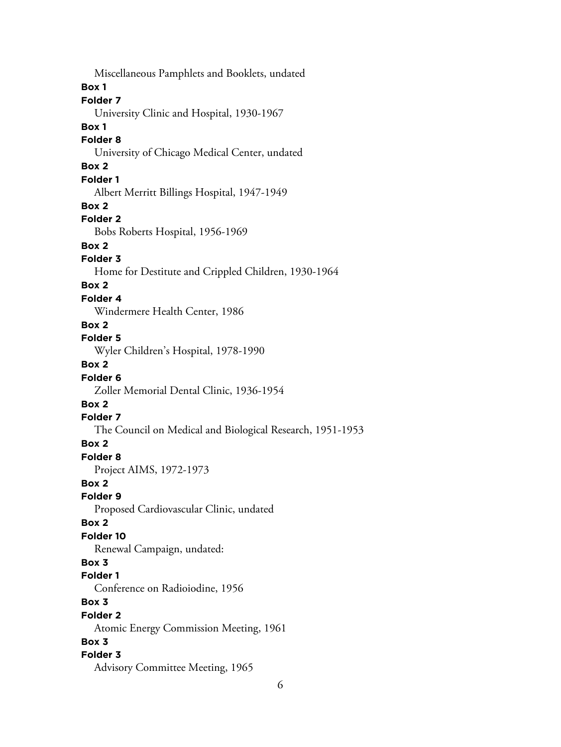Miscellaneous Pamphlets and Booklets, undated **Box 1 Folder 7** University Clinic and Hospital, 1930-1967 **Box 1 Folder 8** University of Chicago Medical Center, undated **Box 2 Folder 1** Albert Merritt Billings Hospital, 1947-1949 **Box 2 Folder 2** Bobs Roberts Hospital, 1956-1969 **Box 2 Folder 3** Home for Destitute and Crippled Children, 1930-1964 **Box 2 Folder 4** Windermere Health Center, 1986 **Box 2 Folder 5** Wyler Children's Hospital, 1978-1990 **Box 2 Folder 6** Zoller Memorial Dental Clinic, 1936-1954 **Box 2 Folder 7** The Council on Medical and Biological Research, 1951-1953 **Box 2 Folder 8** Project AIMS, 1972-1973 **Box 2 Folder 9** Proposed Cardiovascular Clinic, undated **Box 2 Folder 10** Renewal Campaign, undated: **Box 3 Folder 1** Conference on Radioiodine, 1956 **Box 3 Folder 2** Atomic Energy Commission Meeting, 1961 **Box 3 Folder 3** Advisory Committee Meeting, 1965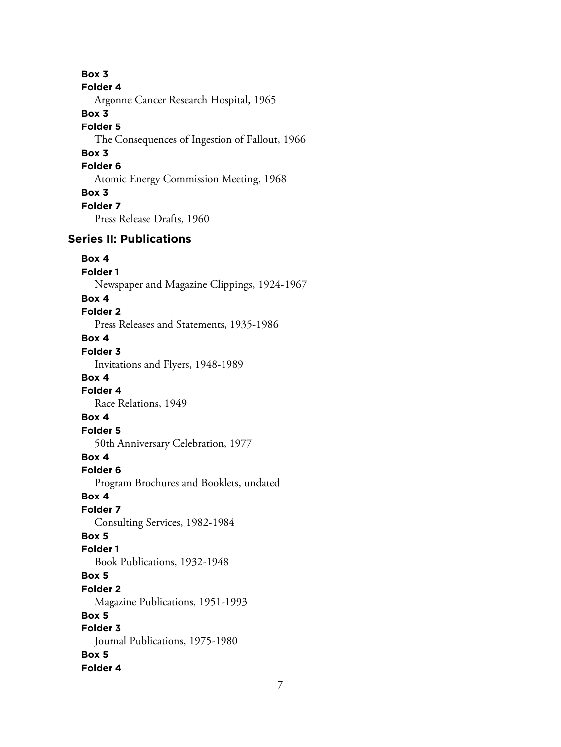**Box 3 Folder 4** Argonne Cancer Research Hospital, 1965 **Box 3 Folder 5** The Consequences of Ingestion of Fallout, 1966 **Box 3 Folder 6** Atomic Energy Commission Meeting, 1968 **Box 3 Folder 7** Press Release Drafts, 1960 **Series II: Publications Box 4 Folder 1** Newspaper and Magazine Clippings, 1924-1967 **Box 4 Folder 2** Press Releases and Statements, 1935-1986 **Box 4 Folder 3** Invitations and Flyers, 1948-1989 **Box 4 Folder 4** Race Relations, 1949 **Box 4 Folder 5** 50th Anniversary Celebration, 1977 **Box 4 Folder 6** Program Brochures and Booklets, undated **Box 4 Folder 7** Consulting Services, 1982-1984 **Box 5 Folder 1** Book Publications, 1932-1948 **Box 5 Folder 2** Magazine Publications, 1951-1993 **Box 5 Folder 3** Journal Publications, 1975-1980 **Box 5 Folder 4**